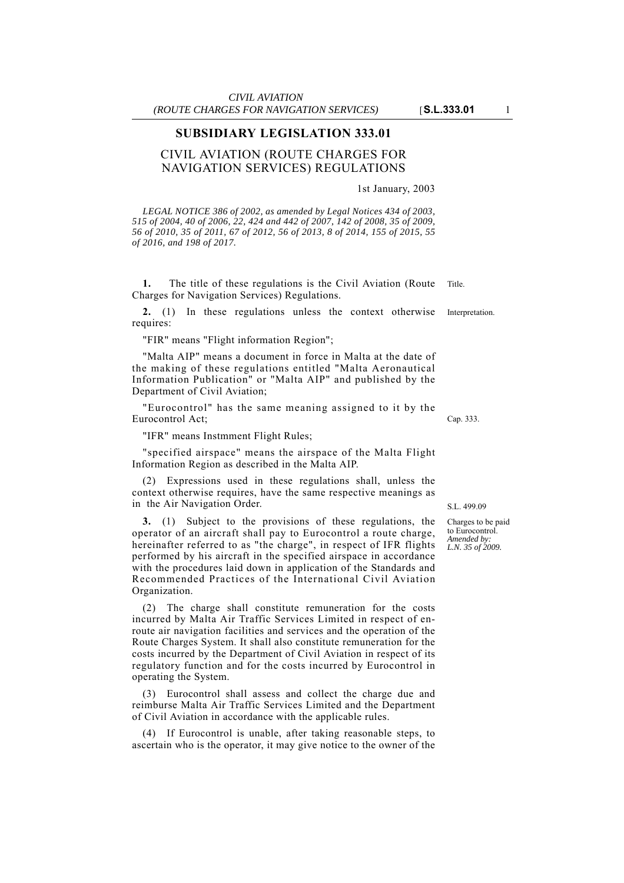### **SUBSIDIARY LEGISLATION 333.01**

## CIVIL AVIATION (ROUTE CHARGES FOR NAVIGATION SERVICES) REGULATIONS

1st January, 2003

*LEGAL NOTICE 386 of 2002, as amended by Legal Notices 434 of 2003, 515 of 2004, 40 of 2006, 22, 424 and 442 of 2007, 142 of 2008, 35 of 2009, 56 of 2010, 35 of 2011, 67 of 2012, 56 of 2013, 8 of 2014, 155 of 2015, 55 of 2016, and 198 of 2017.*

1. The title of these regulations is the Civil Aviation (Route Title. Charges for Navigation Services) Regulations.

**2.** (1) In these regulations unless the context otherwise Interpretation. requires:

"FIR" means "Flight information Region";

"Malta AIP" means a document in force in Malta at the date of the making of these regulations entitled "Malta Aeronautical Information Publication" or "Malta AIP" and published by the Department of Civil Aviation;

"Eurocontrol" has the same meaning assigned to it by the Eurocontrol Act;

"IFR" means Instmment Flight Rules;

"specified airspace" means the airspace of the Malta Flight Information Region as described in the Malta AIP.

(2) Expressions used in these regulations shall, unless the context otherwise requires, have the same respective meanings as in the Air Navigation Order.

**3.** (1) Subject to the provisions of these regulations, the operator of an aircraft shall pay to Eurocontrol a route charge, hereinafter referred to as "the charge", in respect of IFR flights performed by his aircraft in the specified airspace in accordance with the procedures laid down in application of the Standards and Recommended Practices of the International Civil Aviation Organization.

(2) The charge shall constitute remuneration for the costs incurred by Malta Air Traffic Services Limited in respect of enroute air navigation facilities and services and the operation of the Route Charges System. It shall also constitute remuneration for the costs incurred by the Department of Civil Aviation in respect of its regulatory function and for the costs incurred by Eurocontrol in operating the System.

(3) Eurocontrol shall assess and collect the charge due and reimburse Malta Air Traffic Services Limited and the Department of Civil Aviation in accordance with the applicable rules.

(4) If Eurocontrol is unable, after taking reasonable steps, to ascertain who is the operator, it may give notice to the owner of the Cap. 333.

S.L. 499.09

Charges to be paid to Eurocontrol. *Amended by: L.N. 35 of 2009.*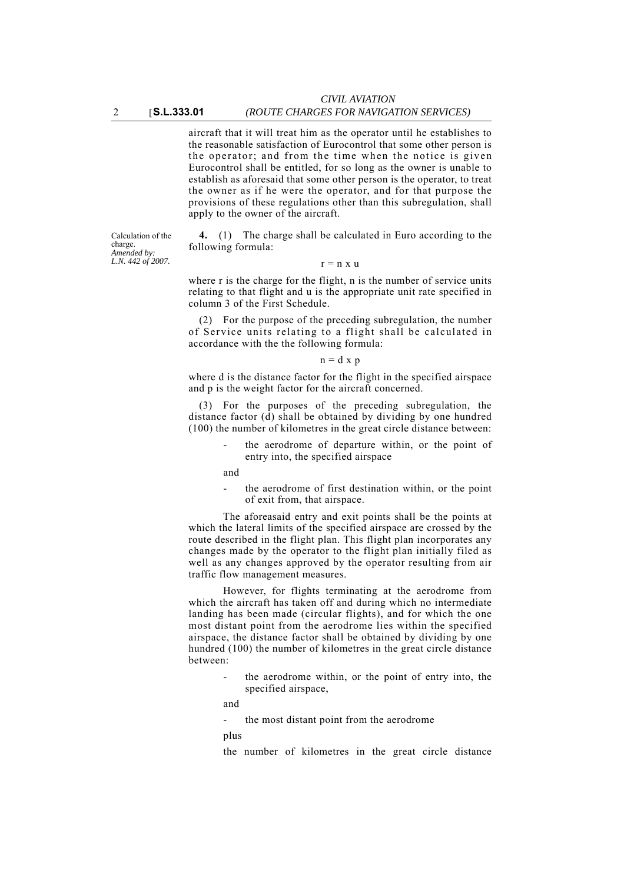### *(ROUTE CHARGES FOR NAVIGATION SERVICES)*

aircraft that it will treat him as the operator until he establishes to the reasonable satisfaction of Eurocontrol that some other person is the operator; and from the time when the notice is given Eurocontrol shall be entitled, for so long as the owner is unable to establish as aforesaid that some other person is the operator, to treat the owner as if he were the operator, and for that purpose the provisions of these regulations other than this subregulation, shall apply to the owner of the aircraft.

Calculation of the charge. *Amended by: L.N. 442 of 2007.*

**4.** (1) The charge shall be calculated in Euro according to the following formula:

 $r = n x u$ 

where r is the charge for the flight, n is the number of service units relating to that flight and u is the appropriate unit rate specified in column 3 of the First Schedule.

(2) For the purpose of the preceding subregulation, the number of Service units relating to a flight shall be calculated in accordance with the the following formula:

#### $n = d \times p$

where d is the distance factor for the flight in the specified airspace and p is the weight factor for the aircraft concerned.

(3) For the purposes of the preceding subregulation, the distance factor (d) shall be obtained by dividing by one hundred (100) the number of kilometres in the great circle distance between:

> the aerodrome of departure within, or the point of entry into, the specified airspace

and

the aerodrome of first destination within, or the point of exit from, that airspace.

The aforeasaid entry and exit points shall be the points at which the lateral limits of the specified airspace are crossed by the route described in the flight plan. This flight plan incorporates any changes made by the operator to the flight plan initially filed as well as any changes approved by the operator resulting from air traffic flow management measures.

However, for flights terminating at the aerodrome from which the aircraft has taken off and during which no intermediate landing has been made (circular flights), and for which the one most distant point from the aerodrome lies within the specified airspace, the distance factor shall be obtained by dividing by one hundred (100) the number of kilometres in the great circle distance between:

> the aerodrome within, or the point of entry into, the specified airspace,

and

the most distant point from the aerodrome

plus

the number of kilometres in the great circle distance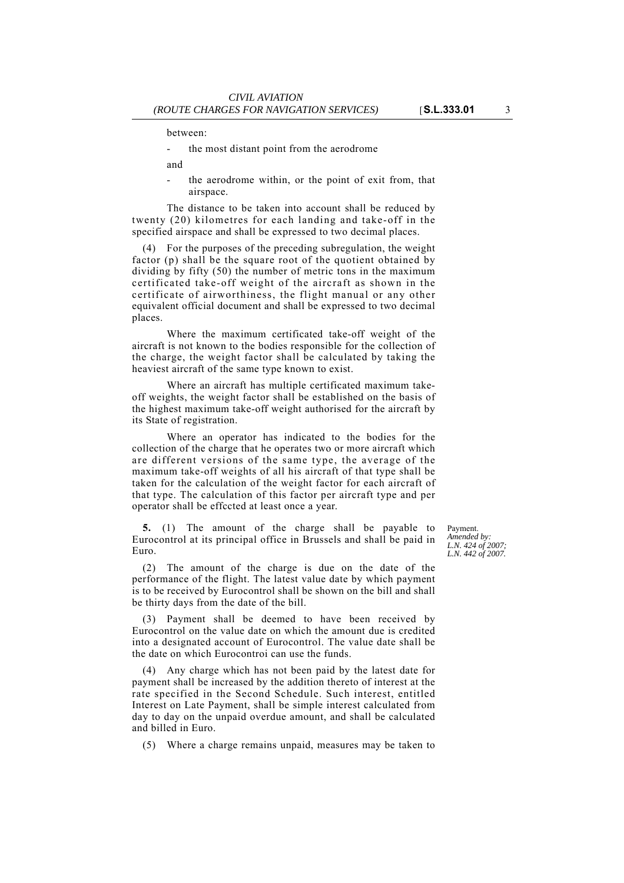between:

- the most distant point from the aerodrome
- and
- the aerodrome within, or the point of exit from, that airspace.

The distance to be taken into account shall be reduced by twenty (20) kilometres for each landing and take-off in the specified airspace and shall be expressed to two decimal places.

(4) For the purposes of the preceding subregulation, the weight factor (p) shall be the square root of the quotient obtained by dividing by fifty (50) the number of metric tons in the maximum certificated take-off weight of the aircraft as shown in the certificate of airworthiness, the flight manual or any other equivalent official document and shall be expressed to two decimal places.

Where the maximum certificated take-off weight of the aircraft is not known to the bodies responsible for the collection of the charge, the weight factor shall be calculated by taking the heaviest aircraft of the same type known to exist.

Where an aircraft has multiple certificated maximum takeoff weights, the weight factor shall be established on the basis of the highest maximum take-off weight authorised for the aircraft by its State of registration.

Where an operator has indicated to the bodies for the collection of the charge that he operates two or more aircraft which are different versions of the same type, the average of the maximum take-off weights of all his aircraft of that type shall be taken for the calculation of the weight factor for each aircraft of that type. The calculation of this factor per aircraft type and per operator shall be effccted at least once a year.

**5.** (1) The amount of the charge shall be payable to Eurocontrol at its principal office in Brussels and shall be paid in Euro.

(2) The amount of the charge is due on the date of the performance of the flight. The latest value date by which payment is to be received by Eurocontrol shall be shown on the bill and shall be thirty days from the date of the bill.

(3) Payment shall be deemed to have been received by Eurocontrol on the value date on which the amount due is credited into a designated account of Eurocontrol. The value date shall be the date on which Eurocontroi can use the funds.

(4) Any charge which has not been paid by the latest date for payment shall be increased by the addition thereto of interest at the rate specified in the Second Schedule. Such interest, entitled Interest on Late Payment, shall be simple interest calculated from day to day on the unpaid overdue amount, and shall be calculated and billed in Euro.

(5) Where a charge remains unpaid, measures may be taken to

Payment. *Amended by: L.N. 424 of 2007; L.N. 442 of 2007.*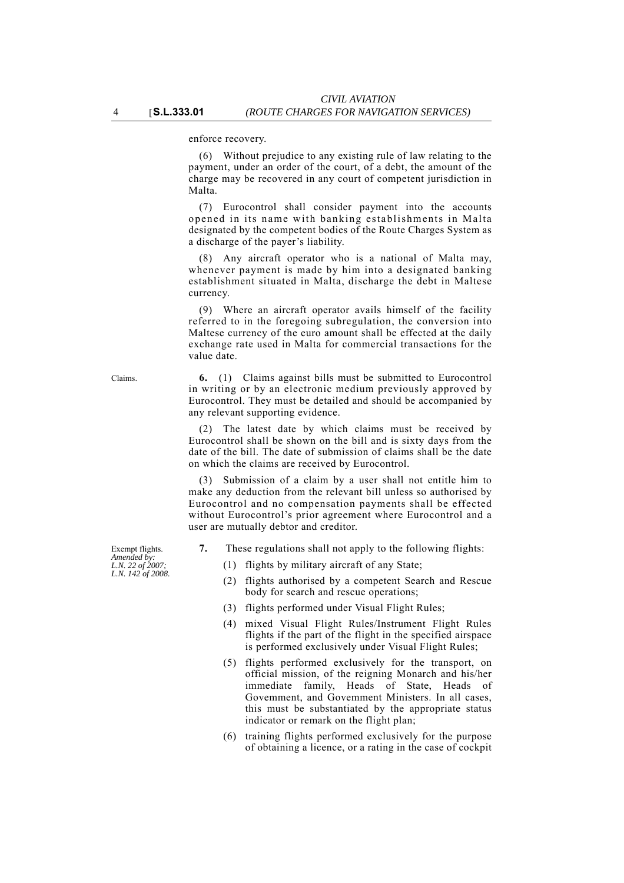enforce recovery.

(6) Without prejudice to any existing rule of law relating to the payment, under an order of the court, of a debt, the amount of the charge may be recovered in any court of competent jurisdiction in Malta.

(7) Eurocontrol shall consider payment into the accounts opened in its name with banking establishments in Malta designated by the competent bodies of the Route Charges System as a discharge of the payer's liability.

(8) Any aircraft operator who is a national of Malta may, whenever payment is made by him into a designated banking establishment situated in Malta, discharge the debt in Maltese currency.

(9) Where an aircraft operator avails himself of the facility referred to in the foregoing subregulation, the conversion into Maltese currency of the euro amount shall be effected at the daily exchange rate used in Malta for commercial transactions for the value date.

Claims. **6.** (1) Claims against bills must be submitted to Eurocontrol in writing or by an electronic medium previously approved by Eurocontrol. They must be detailed and should be accompanied by any relevant supporting evidence.

> (2) The latest date by which claims must be received by Eurocontrol shall be shown on the bill and is sixty days from the date of the bill. The date of submission of claims shall be the date on which the claims are received by Eurocontrol.

> (3) Submission of a claim by a user shall not entitle him to make any deduction from the relevant bill unless so authorised by Eurocontrol and no compensation payments shall be effected without Eurocontrol's prior agreement where Eurocontrol and a user are mutually debtor and creditor.

- **7.** These regulations shall not apply to the following flights:
	- (1) flights by military aircraft of any State;
	- (2) flights authorised by a competent Search and Rescue body for search and rescue operations;
	- (3) flights performed under Visual Flight Rules;
	- (4) mixed Visual Flight Rules/Instrument Flight Rules flights if the part of the flight in the specified airspace is performed exclusively under Visual Flight Rules;
	- (5) flights performed exclusively for the transport, on official mission, of the reigning Monarch and his/her immediate family, Heads of State, Heads of Govemment, and Govemment Ministers. In all cases, this must be substantiated by the appropriate status indicator or remark on the flight plan;
	- (6) training flights performed exclusively for the purpose of obtaining a licence, or a rating in the case of cockpit

Exempt flights.

*Amended by: L.N. 22 of 2007; L.N. 142 of 2008.*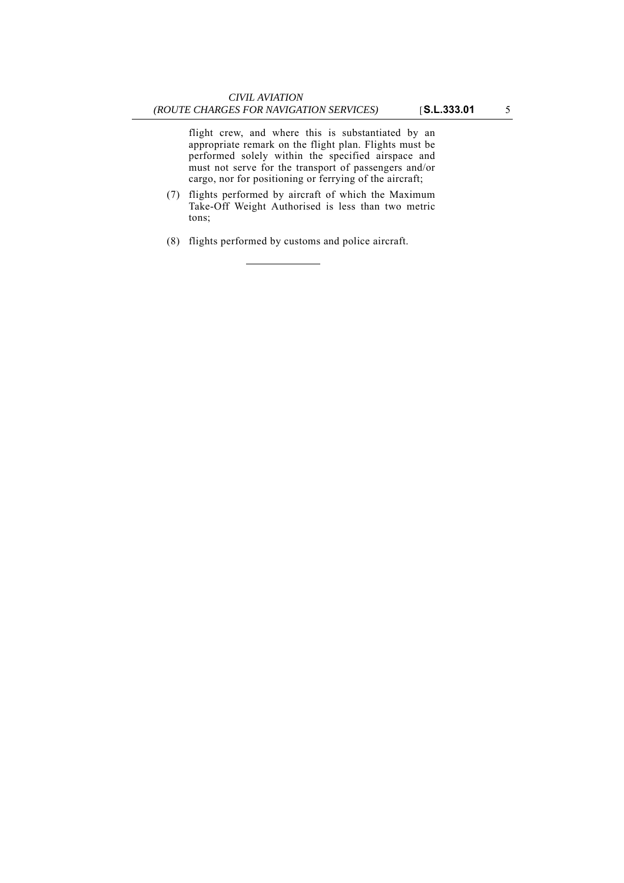flight crew, and where this is substantiated by an appropriate remark on the flight plan. Flights must be performed solely within the specified airspace and must not serve for the transport of passengers and/or cargo, nor for positioning or ferrying of the aircraft;

- (7) flights performed by aircraft of which the Maximum Take-Off Weight Authorised is less than two metric tons;
- (8) flights performed by customs and police aircraft.